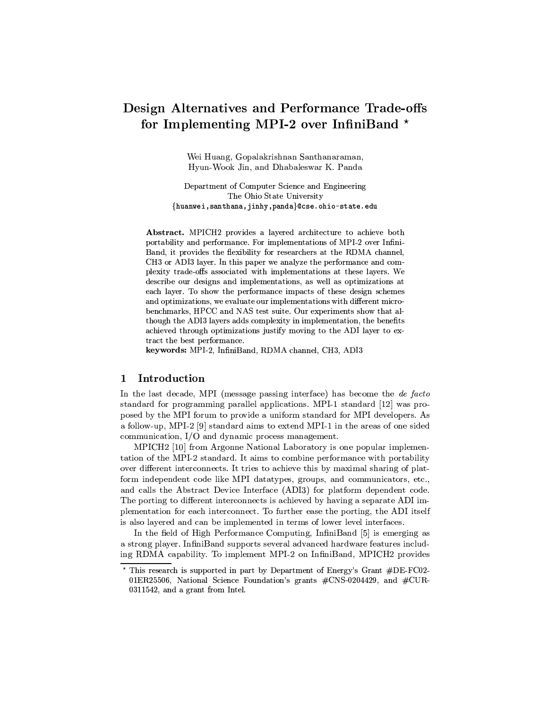# Design Alternatives and Performance Trade-offs for Implementing MPI-2 over InfiniBand \*

Wei Huang, Gopalakrishnan Santhanaraman, Hyun-Wook Jin, and Dhabaleswar K. Panda

Department of Computer Science and Engineering The Ohio State University {huanwei, santhana, jinhy, panda}@cse.ohio-state.edu

Abstract. MPICH2 provides a layered architecture to achieve both portability and performance. For implementations of MPI-2 over Infini-Band, it provides the flexibility for researchers at the RDMA channel. CH3 or ADI3 layer. In this paper we analyze the performance and complexity trade-offs associated with implementations at these layers. We describe our designs and implementations, as well as optimizations at each layer. To show the performance impacts of these design schemes and optimizations, we evaluate our implementations with different microbenchmarks, HPCC and NAS test suite. Our experiments show that although the ADI3 layers adds complexity in implementation, the benefits achieved through optimizations justify moving to the ADI layer to extract the best performance.

keywords: MPI-2, InfiniBand, RDMA channel, CH3, ADI3

### $\mathbf{1}$ Introduction

In the last decade, MPI (message passing interface) has become the de facto standard for programming parallel applications. MPI-1 standard [12] was proposed by the MPI forum to provide a uniform standard for MPI developers. As a follow-up, MPI-2 [9] standard aims to extend MPI-1 in the areas of one sided communication, I/O and dynamic process management.

MPICH2 [10] from Argonne National Laboratory is one popular implementation of the MPI-2 standard. It aims to combine performance with portability over different interconnects. It tries to achieve this by maximal sharing of platform independent code like MPI datatypes, groups, and communicators, etc., and calls the Abstract Device Interface (ADI3) for platform dependent code. The porting to different interconnects is achieved by having a separate ADI implementation for each interconnect. To further ease the porting, the ADI itself is also layered and can be implemented in terms of lower level interfaces.

In the field of High Performance Computing, InfiniBand [5] is emerging as a strong player. InfiniBand supports several advanced hardware features including RDMA capability. To implement MPI-2 on InfiniBand, MPICH2 provides

This research is supported in part by Department of Energy's Grant #DE-FC02-01ER25506, National Science Foundation's grants  $\#CNS-0204429$ , and  $\#CUR-$ 0311542, and a grant from Intel.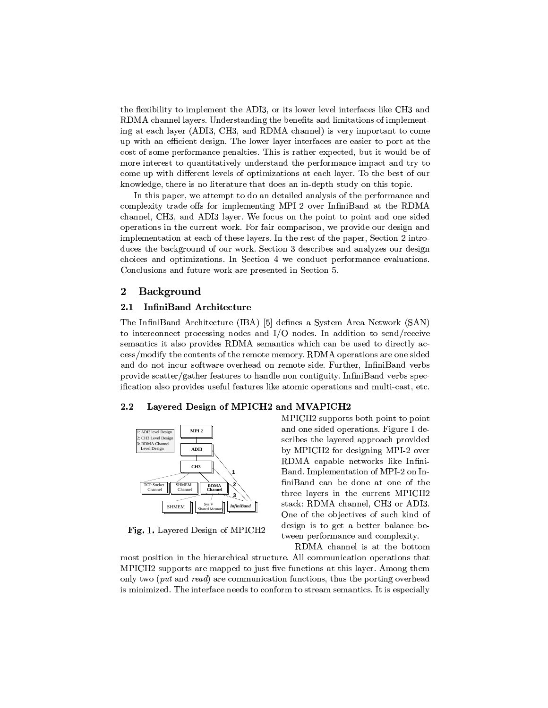the flexibility to implement the ADI3, or its lower level interfaces like CH3 and RDMA channel layers. Understanding the benefits and limitations of implementing at each layer (ADI3, CH3, and RDMA channel) is very important to come up with an efficient design. The lower layer interfaces are easier to port at the cost of some performance penalties. This is rather expected, but it would be of more interest to quantitatively understand the performance impact and try to come up with different levels of optimizations at each layer. To the best of our knowledge, there is no literature that does an in-depth study on this topic.

In this paper, we attempt to do an detailed analysis of the performance and complexity trade-offs for implementing MPI-2 over InfiniBand at the RDMA channel, CH3, and ADI3 layer. We focus on the point to point and one sided operations in the current work. For fair comparison, we provide our design and implementation at each of these layers. In the rest of the paper, Section 2 introduces the background of our work. Section 3 describes and analyzes our design choices and optimizations. In Section 4 we conduct performance evaluations. Conclusions and future work are presented in Section 5.

#### $\overline{2}$ Background

#### $2.1$ InfiniBand Architecture

The InfiniBand Architecture (IBA) [5] defines a System Area Network (SAN) to interconnect processing nodes and  $I/O$  nodes. In addition to send/receive semantics it also provides RDMA semantics which can be used to directly access/modify the contents of the remote memory. RDMA operations are one sided and do not incur software overhead on remote side. Further, InfiniBand verbs provide scatter/gather features to handle non contiguity. InfiniBand verbs specification also provides useful features like atomic operations and multi-cast, etc.

#### $2.2$ Layered Design of MPICH2 and MVAPICH2



Fig. 1. Layered Design of MPICH2

MPICH<sub>2</sub> supports both point to point and one sided operations. Figure 1 describes the layered approach provided by MPICH<sub>2</sub> for designing MPI-2 over RDMA capable networks like Infini-Band. Implementation of MPI-2 on InfiniBand can be done at one of the three layers in the current MPICH2 stack: RDMA channel, CH3 or ADI3. One of the objectives of such kind of design is to get a better balance between performance and complexity.

RDMA channel is at the bottom most position in the hierarchical structure. All communication operations that

MPICH<sub>2</sub> supports are mapped to just five functions at this layer. Among them only two (*put* and *read*) are communication functions, thus the porting overhead is minimized. The interface needs to conform to stream semantics. It is especially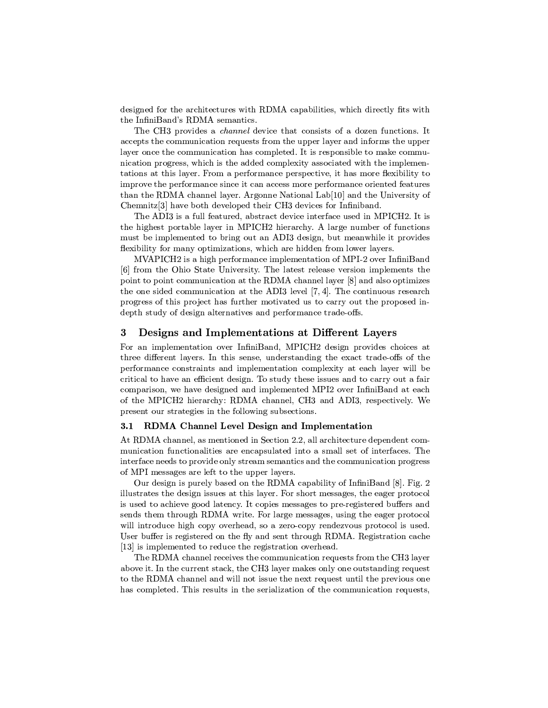designed for the architectures with RDMA capabilities, which directly fits with the InfiniBand's RDMA semantics.

The CH3 provides a *channel* device that consists of a dozen functions. It accepts the communication requests from the upper layer and informs the upper layer once the communication has completed. It is responsible to make communication progress, which is the added complexity associated with the implementations at this layer. From a performance perspective, it has more flexibility to improve the performance since it can access more performance oriented features than the RDMA channel layer. Argonne National Lab<sup>[10]</sup> and the University of Chemnitz<sup>[3]</sup> have both developed their CH3 devices for Infiniband.

The ADI3 is a full featured, abstract device interface used in MPICH2. It is the highest portable layer in MPICH2 hierarchy. A large number of functions must be implemented to bring out an ADI3 design, but meanwhile it provides flexibility for many optimizations, which are hidden from lower layers.

MVAPICH<sub>2</sub> is a high performance implementation of MPI-2 over InfiniBand [6] from the Ohio State University. The latest release version implements the point to point communication at the RDMA channel layer [8] and also optimizes the one sided communication at the ADI3 level  $[7, 4]$ . The continuous research progress of this project has further motivated us to carry out the proposed indepth study of design alternatives and performance trade-offs.

### 3 Designs and Implementations at Different Layers

For an implementation over InfiniBand, MPICH2 design provides choices at three different layers. In this sense, understanding the exact trade-offs of the performance constraints and implementation complexity at each layer will be critical to have an efficient design. To study these issues and to carry out a fair comparison, we have designed and implemented MPI2 over InfiniBand at each of the MPICH<sub>2</sub> hierarchy: RDMA channel, CH<sub>3</sub> and ADI<sub>3</sub>, respectively. We present our strategies in the following subsections.

#### RDMA Channel Level Design and Implementation  $3.1$

At RDMA channel, as mentioned in Section 2.2, all architecture dependent communication functionalities are encapsulated into a small set of interfaces. The interface needs to provide only stream semantics and the communication progress of MPI messages are left to the upper layers.

Our design is purely based on the RDMA capability of InfiniBand [8]. Fig. 2 illustrates the design issues at this layer. For short messages, the eager protocol is used to achieve good latency. It copies messages to pre-registered buffers and sends them through RDMA write. For large messages, using the eager protocol will introduce high copy overhead, so a zero-copy rendezvous protocol is used. User buffer is registered on the fly and sent through RDMA. Registration cache [13] is implemented to reduce the registration overhead.

The RDMA channel receives the communication requests from the CH3 layer above it. In the current stack, the CH3 layer makes only one outstanding request to the RDMA channel and will not issue the next request until the previous one has completed. This results in the serialization of the communication requests,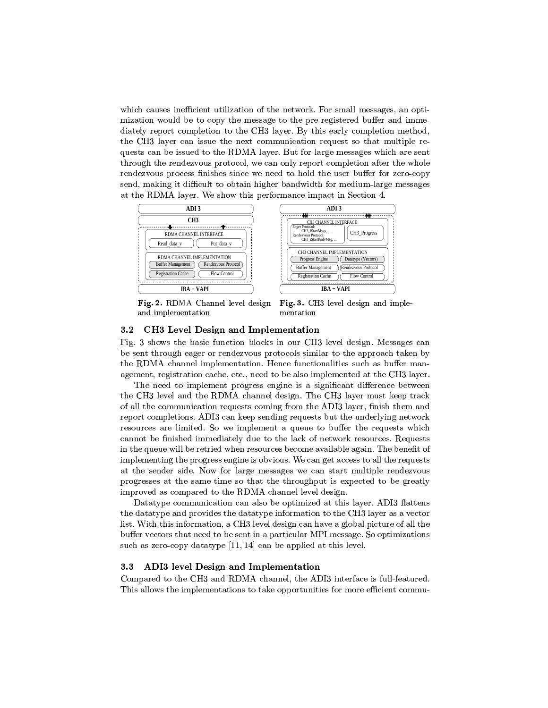which causes inefficient utilization of the network. For small messages, an optimization would be to copy the message to the pre-registered buffer and immediately report completion to the CH3 layer. By this early completion method, the CH3 layer can issue the next communication request so that multiple requests can be issued to the RDMA layer. But for large messages which are sent through the rendezvous protocol, we can only report completion after the whole rendezvous process finishes since we need to hold the user buffer for zero-copy send, making it difficult to obtain higher bandwidth for medium-large messages at the RDMA layer. We show this performance impact in Section 4.







Fig. 3. CH3 level design and implementation

### CH3 Level Design and Implementation  $3.2$

Fig. 3 shows the basic function blocks in our CH3 level design. Messages can be sent through eager or rendezvous protocols similar to the approach taken by the RDMA channel implementation. Hence functionalities such as buffer management, registration cache, etc., need to be also implemented at the CH3 layer.

The need to implement progress engine is a significant difference between the CH3 level and the RDMA channel design. The CH3 layer must keep track of all the communication requests coming from the ADI3 layer, finish them and report completions. ADI3 can keep sending requests but the underlying network resources are limited. So we implement a queue to buffer the requests which cannot be finished immediately due to the lack of network resources. Requests in the queue will be retried when resources become available again. The benefit of implementing the progress engine is obvious. We can get access to all the requests at the sender side. Now for large messages we can start multiple rendezvous progresses at the same time so that the throughput is expected to be greatly improved as compared to the RDMA channel level design.

Datatype communication can also be optimized at this layer. ADI3 flattens the data type and provides the data type information to the CH3 layer as a vector list. With this information, a CH3 level design can have a global picture of all the buffer vectors that need to be sent in a particular MPI message. So optimizations such as zero-copy data type  $[11, 14]$  can be applied at this level.

### $3.3$ ADI3 level Design and Implementation

Compared to the CH3 and RDMA channel, the ADI3 interface is full-featured. This allows the implementations to take opportunities for more efficient commu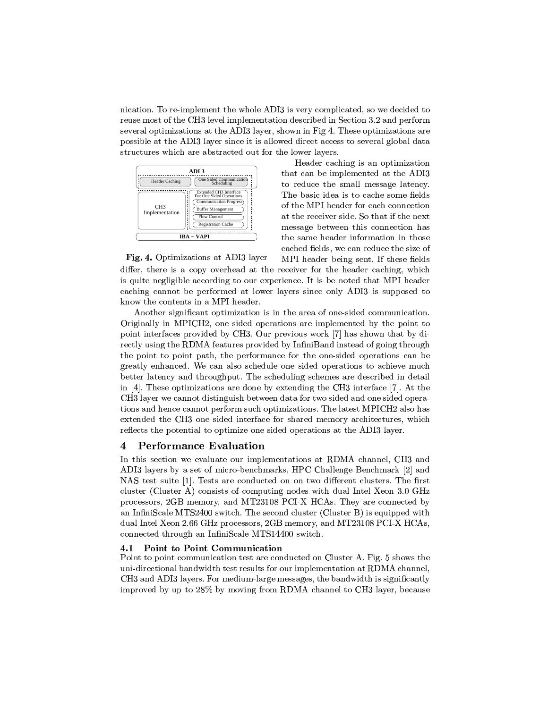nication. To re-implement the whole ADI3 is very complicated, so we decided to reuse most of the CH3 level implementation described in Section 3.2 and perform several optimizations at the ADI3 layer, shown in Fig 4. These optimizations are possible at the ADI3 layer since it is allowed direct access to several global data structures which are abstracted out for the lower layers.



Header caching is an optimization that can be implemented at the ADI3 to reduce the small message latency. The basic idea is to cache some fields of the MPI header for each connection at the receiver side. So that if the next message between this connection has the same header information in those cached fields, we can reduce the size of MPI header being sent. If these fields

Fig. 4. Optimizations at ADI3 layer

differ, there is a copy overhead at the receiver for the header caching, which is quite negligible according to our experience. It is be noted that MPI header caching cannot be performed at lower layers since only ADI3 is supposed to know the contents in a MPI header.

Another significant optimization is in the area of one-sided communication. Originally in MPICH2, one sided operations are implemented by the point to point interfaces provided by CH3. Our previous work [7] has shown that by directly using the RDMA features provided by InfiniBand instead of going through the point to point path, the performance for the one-sided operations can be greatly enhanced. We can also schedule one sided operations to achieve much better latency and throughput. The scheduling schemes are described in detail in [4]. These optimizations are done by extending the CH3 interface [7]. At the CH3 layer we cannot distinguish between data for two sided and one sided operations and hence cannot perform such optimizations. The latest MPICH2 also has extended the CH3 one sided interface for shared memory architectures, which reflects the potential to optimize one sided operations at the ADI3 layer.

## 4 **Performance Evaluation**

In this section we evaluate our implementations at RDMA channel, CH3 and ADI3 layers by a set of micro-benchmarks, HPC Challenge Benchmark [2] and NAS test suite [1]. Tests are conducted on on two different clusters. The first cluster (Cluster A) consists of computing nodes with dual Intel Xeon 3.0 GHz processors, 2GB memory, and MT23108 PCI-X HCAs. They are connected by an InfiniScale MTS2400 switch. The second cluster (Cluster B) is equipped with dual Intel Xeon 2.66 GHz processors, 2GB memory, and MT23108 PCI-X HCAs, connected through an InfiniScale MTS14400 switch.

#### Point to Point Communication  $4.1$

Point to point communication test are conducted on Cluster A. Fig. 5 shows the uni-directional bandwidth test results for our implementation at RDMA channel. CH3 and ADI3 layers. For medium-large messages, the bandwidth is significantly improved by up to 28% by moving from RDMA channel to CH3 layer, because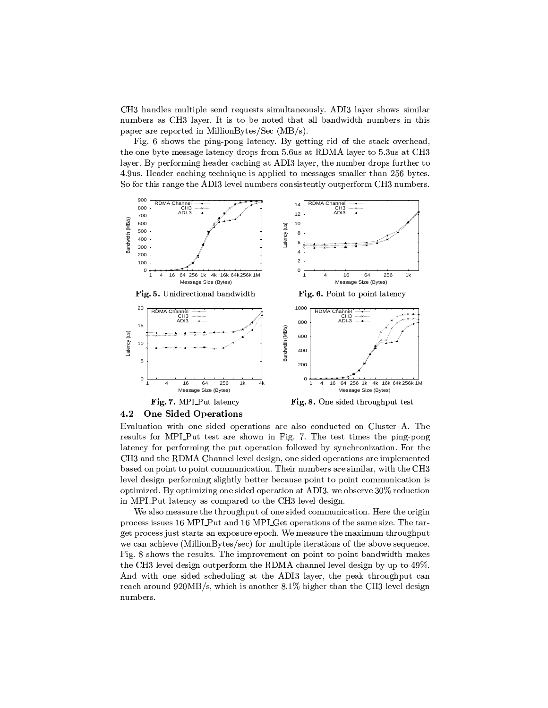CH3 handles multiple send requests simultaneously. ADI3 layer shows similar numbers as CH3 layer. It is to be noted that all bandwidth numbers in this paper are reported in MillionBytes/Sec  $(MB/s)$ .

Fig. 6 shows the ping-pong latency. By getting rid of the stack overhead, the one byte message latency drops from 5.6us at RDMA layer to 5.3us at CH3 layer. By performing header caching at ADI3 layer, the number drops further to 4.9 us. Header caching technique is applied to messages smaller than 256 bytes. So for this range the ADI3 level numbers consistently outperform CH3 numbers.



4.2 **One Sided Operations** 

Evaluation with one sided operations are also conducted on Cluster A. The results for MPLPut test are shown in Fig. 7. The test times the ping-pong latency for performing the put operation followed by synchronization. For the CH3 and the RDMA Channel level design, one sided operations are implemented based on point to point communication. Their numbers are similar, with the CH3 level design performing slightly better because point to point communication is optimized. By optimizing one sided operation at ADI3, we observe 30% reduction in MPLPut latency as compared to the CH3 level design.

We also measure the throughput of one sided communication. Here the origin process issues 16 MPLPut and 16 MPLGet operations of the same size. The target process just starts an exposure epoch. We measure the maximum throughput we can achieve (MillionBytes/sec) for multiple iterations of the above sequence. Fig. 8 shows the results. The improvement on point to point bandwidth makes the CH3 level design outperform the RDMA channel level design by up to 49%. And with one sided scheduling at the ADI3 layer, the peak throughput can reach around  $920MB/s$ , which is another  $8.1\%$  higher than the CH3 level design numbers.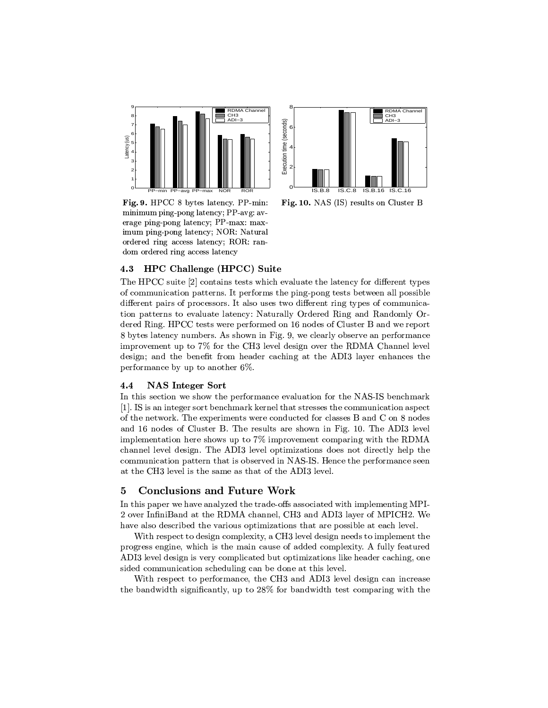



Fig. 9. HPCC 8 bytes latency. PP-min: minimum ping-pong latency; PP-avg: average ping-pong latency; PP-max: maximum ping-pong latency; NOR: Natural ordered ring access latency; ROR: ran-

Fig. 10. NAS (IS) results on Cluster B

#### **HPC Challenge (HPCC) Suite** 4.3

dom ordered ring access latency

The HPCC suite [2] contains tests which evaluate the latency for different types of communication patterns. It performs the ping-pong tests between all possible different pairs of processors. It also uses two different ring types of communication patterns to evaluate latency: Naturally Ordered Ring and Randomly Ordered Ring. HPCC tests were performed on 16 nodes of Cluster B and we report 8 bytes latency numbers. As shown in Fig. 9, we clearly observe an performance improvement up to 7% for the CH3 level design over the RDMA Channel level design; and the benefit from header caching at the ADI3 layer enhances the performance by up to another  $6\%$ .

#### **NAS Integer Sort**  $4.4$

In this section we show the performance evaluation for the NAS-IS benchmark [1]. IS is an integer sort benchmark kernel that stresses the communication aspect of the network. The experiments were conducted for classes B and C on 8 nodes and 16 nodes of Cluster B. The results are shown in Fig. 10. The ADI3 level implementation here shows up to  $7\%$  improvement comparing with the RDMA channel level design. The ADI3 level optimizations does not directly help the communication pattern that is observed in NAS-IS. Hence the performance seen at the CH3 level is the same as that of the ADI3 level.

# **Conclusions and Future Work** 5

In this paper we have analyzed the trade-offs associated with implementing MPI-2 over InfiniBand at the RDMA channel, CH3 and ADI3 layer of MPICH2. We have also described the various optimizations that are possible at each level.

With respect to design complexity, a CH3 level design needs to implement the progress engine, which is the main cause of added complexity. A fully featured ADI3 level design is very complicated but optimizations like header caching, one sided communication scheduling can be done at this level.

With respect to performance, the CH3 and ADI3 level design can increase the bandwidth significantly, up to 28% for bandwidth test comparing with the